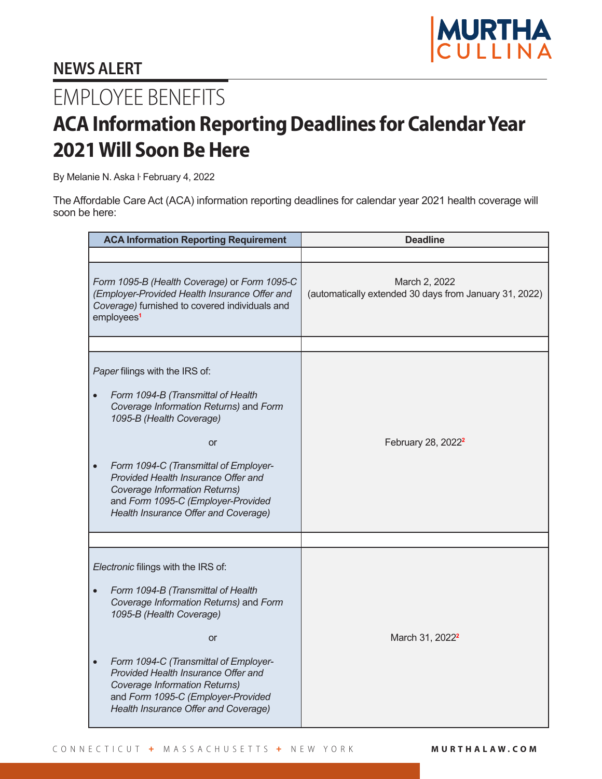

## **NEWS ALERT**

## EMPLOYEE BENEFITS

## **ACA Information Reporting Deadlines for Calendar Year 2021 Will Soon Be Here**

By Melanie N. Aska ŀ February 4, 2022

The Affordable Care Act (ACA) information reporting deadlines for calendar year 2021 health coverage will soon be here:

| <b>ACA Information Reporting Requirement</b>                                                                                                                              |                                                                                                                                                                                                                                                                                                                                                               | <b>Deadline</b>                                                         |
|---------------------------------------------------------------------------------------------------------------------------------------------------------------------------|---------------------------------------------------------------------------------------------------------------------------------------------------------------------------------------------------------------------------------------------------------------------------------------------------------------------------------------------------------------|-------------------------------------------------------------------------|
|                                                                                                                                                                           |                                                                                                                                                                                                                                                                                                                                                               |                                                                         |
| Form 1095-B (Health Coverage) or Form 1095-C<br>(Employer-Provided Health Insurance Offer and<br>Coverage) furnished to covered individuals and<br>employees <sup>1</sup> |                                                                                                                                                                                                                                                                                                                                                               | March 2, 2022<br>(automatically extended 30 days from January 31, 2022) |
|                                                                                                                                                                           |                                                                                                                                                                                                                                                                                                                                                               |                                                                         |
|                                                                                                                                                                           | Paper filings with the IRS of:<br>Form 1094-B (Transmittal of Health<br>Coverage Information Returns) and Form<br>1095-B (Health Coverage)<br><b>or</b><br>Form 1094-C (Transmittal of Employer-<br>Provided Health Insurance Offer and<br><b>Coverage Information Returns)</b><br>and Form 1095-C (Employer-Provided<br>Health Insurance Offer and Coverage) | February 28, 2022 <sup>2</sup>                                          |
|                                                                                                                                                                           |                                                                                                                                                                                                                                                                                                                                                               |                                                                         |
|                                                                                                                                                                           |                                                                                                                                                                                                                                                                                                                                                               |                                                                         |
| Electronic filings with the IRS of:                                                                                                                                       |                                                                                                                                                                                                                                                                                                                                                               |                                                                         |
|                                                                                                                                                                           | Form 1094-B (Transmittal of Health<br>Coverage Information Returns) and Form<br>1095-B (Health Coverage)                                                                                                                                                                                                                                                      |                                                                         |
|                                                                                                                                                                           | <b>or</b>                                                                                                                                                                                                                                                                                                                                                     | March 31, 2022 <sup>2</sup>                                             |
|                                                                                                                                                                           | Form 1094-C (Transmittal of Employer-<br>Provided Health Insurance Offer and<br>Coverage Information Returns)<br>and Form 1095-C (Employer-Provided<br>Health Insurance Offer and Coverage)                                                                                                                                                                   |                                                                         |